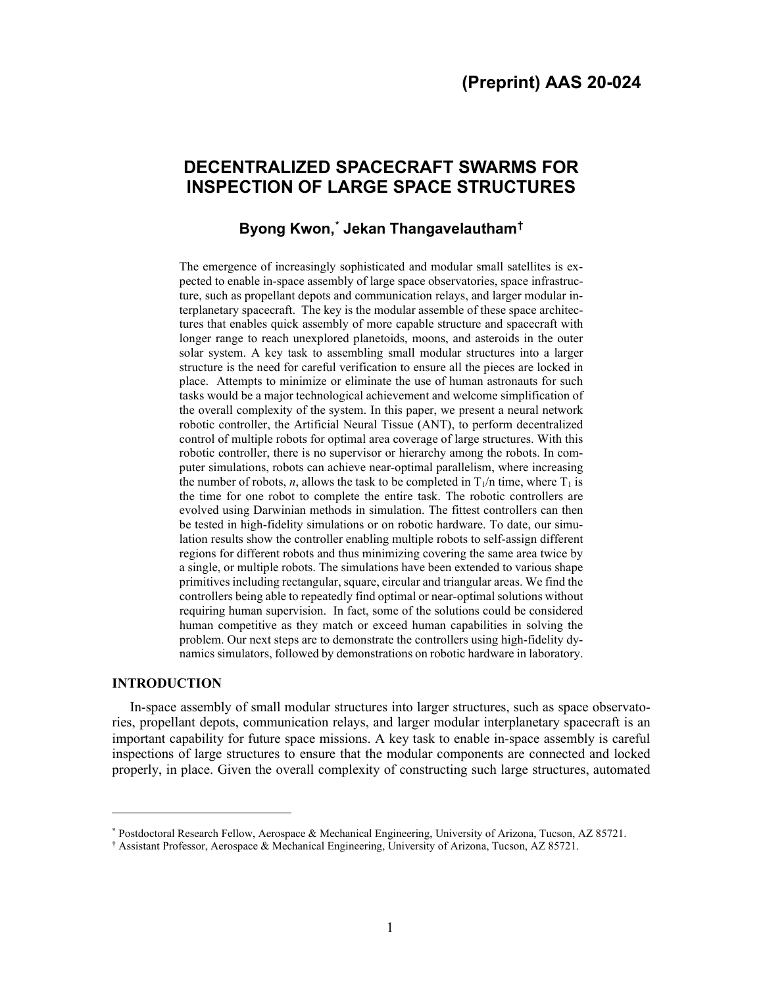# **DECENTRALIZED SPACECRAFT SWARMS FOR INSPECTION OF LARGE SPACE STRUCTURES**

# **Byong Kwon, [\\*](#page-0-0) Jekan Thangavelautham[†](#page-0-1)**

The emergence of increasingly sophisticated and modular small satellites is expected to enable in-space assembly of large space observatories, space infrastructure, such as propellant depots and communication relays, and larger modular interplanetary spacecraft. The key is the modular assemble of these space architectures that enables quick assembly of more capable structure and spacecraft with longer range to reach unexplored planetoids, moons, and asteroids in the outer solar system. A key task to assembling small modular structures into a larger structure is the need for careful verification to ensure all the pieces are locked in place. Attempts to minimize or eliminate the use of human astronauts for such tasks would be a major technological achievement and welcome simplification of the overall complexity of the system. In this paper, we present a neural network robotic controller, the Artificial Neural Tissue (ANT), to perform decentralized control of multiple robots for optimal area coverage of large structures. With this robotic controller, there is no supervisor or hierarchy among the robots. In computer simulations, robots can achieve near-optimal parallelism, where increasing the number of robots, *n*, allows the task to be completed in  $T_1/n$  time, where  $T_1$  is the time for one robot to complete the entire task. The robotic controllers are evolved using Darwinian methods in simulation. The fittest controllers can then be tested in high-fidelity simulations or on robotic hardware. To date, our simulation results show the controller enabling multiple robots to self-assign different regions for different robots and thus minimizing covering the same area twice by a single, or multiple robots. The simulations have been extended to various shape primitives including rectangular, square, circular and triangular areas. We find the controllers being able to repeatedly find optimal or near-optimal solutions without requiring human supervision. In fact, some of the solutions could be considered human competitive as they match or exceed human capabilities in solving the problem. Our next steps are to demonstrate the controllers using high-fidelity dynamics simulators, followed by demonstrations on robotic hardware in laboratory.

#### **INTRODUCTION**

In-space assembly of small modular structures into larger structures, such as space observatories, propellant depots, communication relays, and larger modular interplanetary spacecraft is an important capability for future space missions. A key task to enable in-space assembly is careful inspections of large structures to ensure that the modular components are connected and locked properly, in place. Given the overall complexity of constructing such large structures, automated

<sup>\*</sup> Postdoctoral Research Fellow, Aerospace & Mechanical Engineering, University of Arizona, Tucson, AZ 85721.

<span id="page-0-1"></span><span id="page-0-0"></span><sup>†</sup> Assistant Professor, Aerospace & Mechanical Engineering, University of Arizona, Tucson, AZ 85721.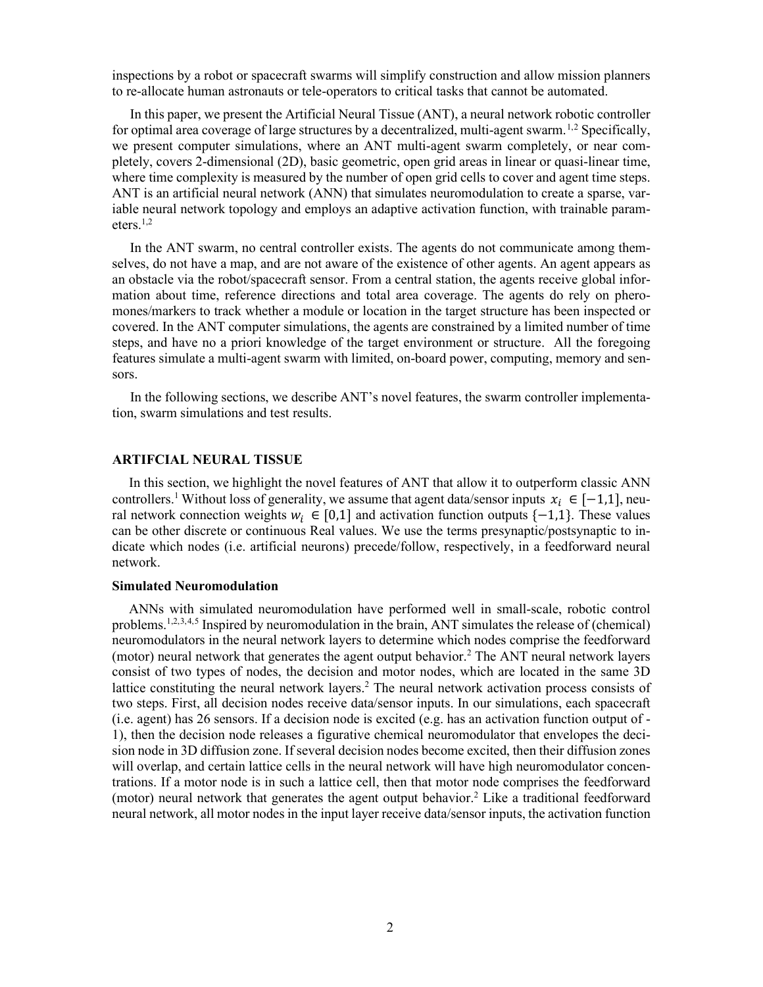inspections by a robot or spacecraft swarms will simplify construction and allow mission planners to re-allocate human astronauts or tele-operators to critical tasks that cannot be automated.

In this paper, we present the Artificial Neural Tissue (ANT), a neural network robotic controller for optimal area coverage of large structures by a decentralized, multi-agent swarm.<sup>[1,](#page-8-0)[2](#page-8-1)</sup> Specifically, we present computer simulations, where an ANT multi-agent swarm completely, or near completely, covers 2-dimensional (2D), basic geometric, open grid areas in linear or quasi-linear time, where time complexity is measured by the number of open grid cells to cover and agent time steps. ANT is an artificial neural network (ANN) that simulates neuromodulation to create a sparse, variable neural network topology and employs an adaptive activation function, with trainable parameters. $1,2$ 

In the ANT swarm, no central controller exists. The agents do not communicate among themselves, do not have a map, and are not aware of the existence of other agents. An agent appears as an obstacle via the robot/spacecraft sensor. From a central station, the agents receive global information about time, reference directions and total area coverage. The agents do rely on pheromones/markers to track whether a module or location in the target structure has been inspected or covered. In the ANT computer simulations, the agents are constrained by a limited number of time steps, and have no a priori knowledge of the target environment or structure. All the foregoing features simulate a multi-agent swarm with limited, on-board power, computing, memory and sensors.

In the following sections, we describe ANT's novel features, the swarm controller implementation, swarm simulations and test results.

# **ARTIFCIAL NEURAL TISSUE**

In this section, we highlight the novel features of ANT that allow it to outperform classic ANN controllers.<sup>1</sup> Without loss of generality, we assume that agent data/sensor inputs  $x_i \in [-1,1]$ , neural network connection weights  $w_i$  ∈ [0,1] and activation function outputs {-1,1}. These values can be other discrete or continuous Real values. We use the terms presynaptic/postsynaptic to indicate which nodes (i.e. artificial neurons) precede/follow, respectively, in a feedforward neural network.

# **Simulated Neuromodulation**

ANNs with simulated neuromodulation have performed well in small-scale, robotic control problems.<sup>1,2,[3](#page-8-2),[4,](#page-9-0)[5](#page-9-1)</sup> Inspired by neuromodulation in the brain, ANT simulates the release of (chemical) neuromodulators in the neural network layers to determine which nodes comprise the feedforward (motor) neural network that generates the agent output behavior. <sup>2</sup> The ANT neural network layers consist of two types of nodes, the decision and motor nodes, which are located in the same 3D lattice constituting the neural network layers.<sup>2</sup> The neural network activation process consists of two steps. First, all decision nodes receive data/sensor inputs. In our simulations, each spacecraft (i.e. agent) has 26 sensors. If a decision node is excited (e.g. has an activation function output of - 1), then the decision node releases a figurative chemical neuromodulator that envelopes the decision node in 3D diffusion zone. If several decision nodes become excited, then their diffusion zones will overlap, and certain lattice cells in the neural network will have high neuromodulator concentrations. If a motor node is in such a lattice cell, then that motor node comprises the feedforward (motor) neural network that generates the agent output behavior.<sup>2</sup> Like a traditional feedforward neural network, all motor nodes in the input layer receive data/sensor inputs, the activation function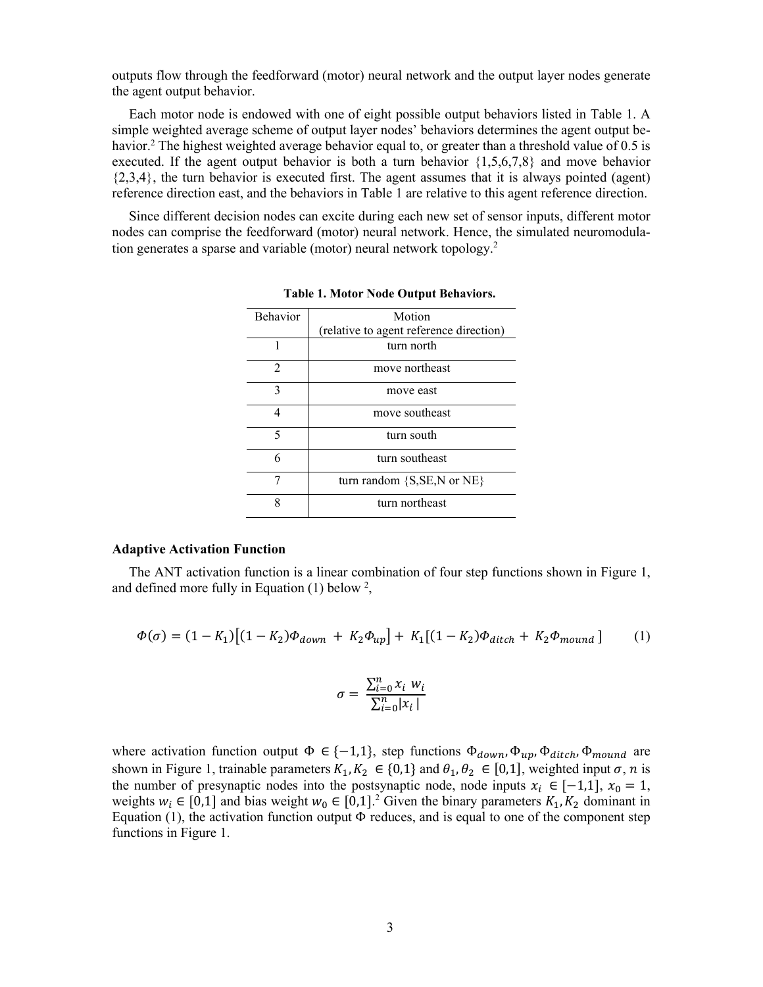outputs flow through the feedforward (motor) neural network and the output layer nodes generate the agent output behavior.

Each motor node is endowed with one of eight possible output behaviors listed in Table 1. A simple weighted average scheme of output layer nodes' behaviors determines the agent output behavior.<sup>2</sup> The highest weighted average behavior equal to, or greater than a threshold value of 0.5 is executed. If the agent output behavior is both a turn behavior {1,5,6,7,8} and move behavior  $\{2,3,4\}$ , the turn behavior is executed first. The agent assumes that it is always pointed (agent) reference direction east, and the behaviors in Table 1 are relative to this agent reference direction.

Since different decision nodes can excite during each new set of sensor inputs, different motor nodes can comprise the feedforward (motor) neural network. Hence, the simulated neuromodulation generates a sparse and variable (motor) neural network topology. 2

| <b>Behavior</b> | Motion                                  |  |  |  |  |  |
|-----------------|-----------------------------------------|--|--|--|--|--|
|                 | (relative to agent reference direction) |  |  |  |  |  |
|                 | turn north                              |  |  |  |  |  |
| $\overline{2}$  | move northeast                          |  |  |  |  |  |
| 3               | move east                               |  |  |  |  |  |
|                 | move southeast                          |  |  |  |  |  |
| 5               | turn south                              |  |  |  |  |  |
| 6               | turn southeast                          |  |  |  |  |  |
|                 | turn random {S,SE,N or NE}              |  |  |  |  |  |
| 8               | turn northeast                          |  |  |  |  |  |

**Table 1. Motor Node Output Behaviors.**

## **Adaptive Activation Function**

The ANT activation function is a linear combination of four step functions shown in Figure 1, and defined more fully in Equation  $(1)$  below <sup>2</sup>,

$$
\Phi(\sigma) = (1 - K_1)[(1 - K_2)\Phi_{down} + K_2\Phi_{up}] + K_1[(1 - K_2)\Phi_{ditch} + K_2\Phi_{mount}] \tag{1}
$$

$$
\sigma = \frac{\sum_{i=0}^{n} x_i w_i}{\sum_{i=0}^{n} |x_i|}
$$

where activation function output  $\Phi \in \{-1,1\}$ , step functions  $\Phi_{down}$ ,  $\Phi_{up}$ ,  $\Phi_{ditch}$ ,  $\Phi_{mount}$  are shown in Figure 1, trainable parameters  $K_1, K_2 \in \{0,1\}$  and  $\theta_1, \theta_2 \in [0,1]$ , weighted input  $\sigma$ ,  $n$  is the number of presynaptic nodes into the postsynaptic node, node inputs  $x_i \in [-1,1]$ ,  $x_0 = 1$ , weights  $w_i \in [0,1]$  and bias weight  $w_0 \in [0,1]^2$  Given the binary parameters  $K_1, K_2$  dominant in Equation (1), the activation function output  $\Phi$  reduces, and is equal to one of the component step functions in Figure 1.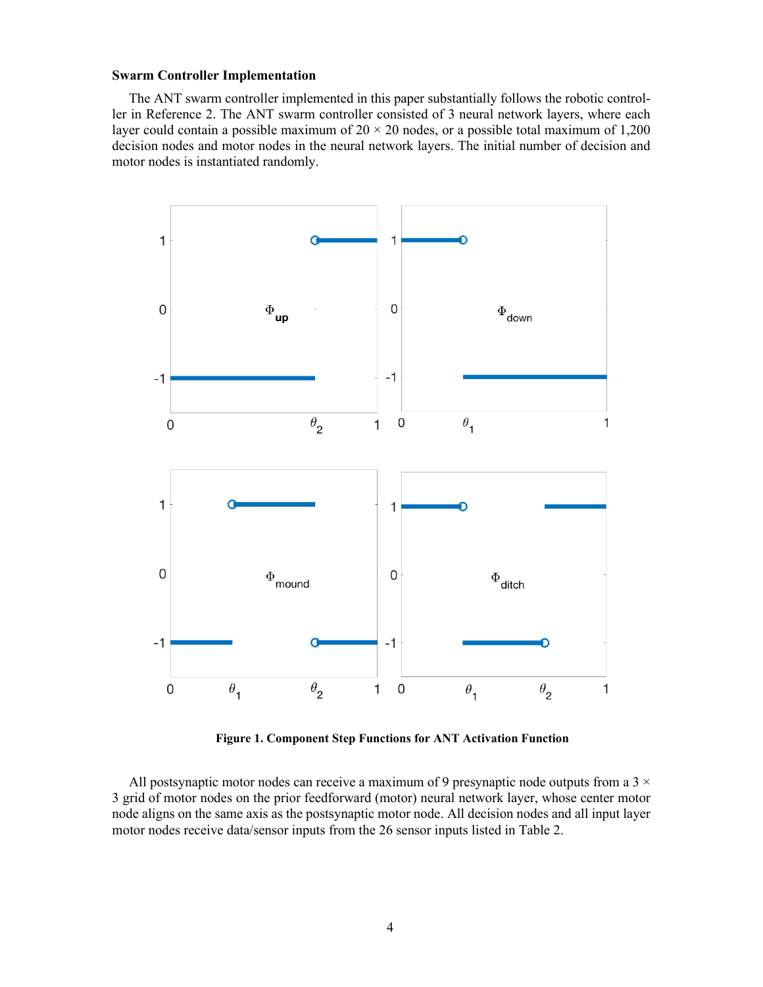#### **Swarm Controller Implementation**

The ANT swarm controller implemented in this paper substantially follows the robotic controller in Reference 2. The ANT swarm controller consisted of 3 neural network layers, where each layer could contain a possible maximum of  $20 \times 20$  nodes, or a possible total maximum of 1,200 decision nodes and motor nodes in the neural network layers. The initial number of decision and motor nodes is instantiated randomly.



**Figure 1. Component Step Functions for ANT Activation Function**

All postsynaptic motor nodes can receive a maximum of 9 presynaptic node outputs from a  $3 \times$ 3 grid of motor nodes on the prior feedforward (motor) neural network layer, whose center motor node aligns on the same axis as the postsynaptic motor node. All decision nodes and all input layer motor nodes receive data/sensor inputs from the 26 sensor inputs listed in Table 2.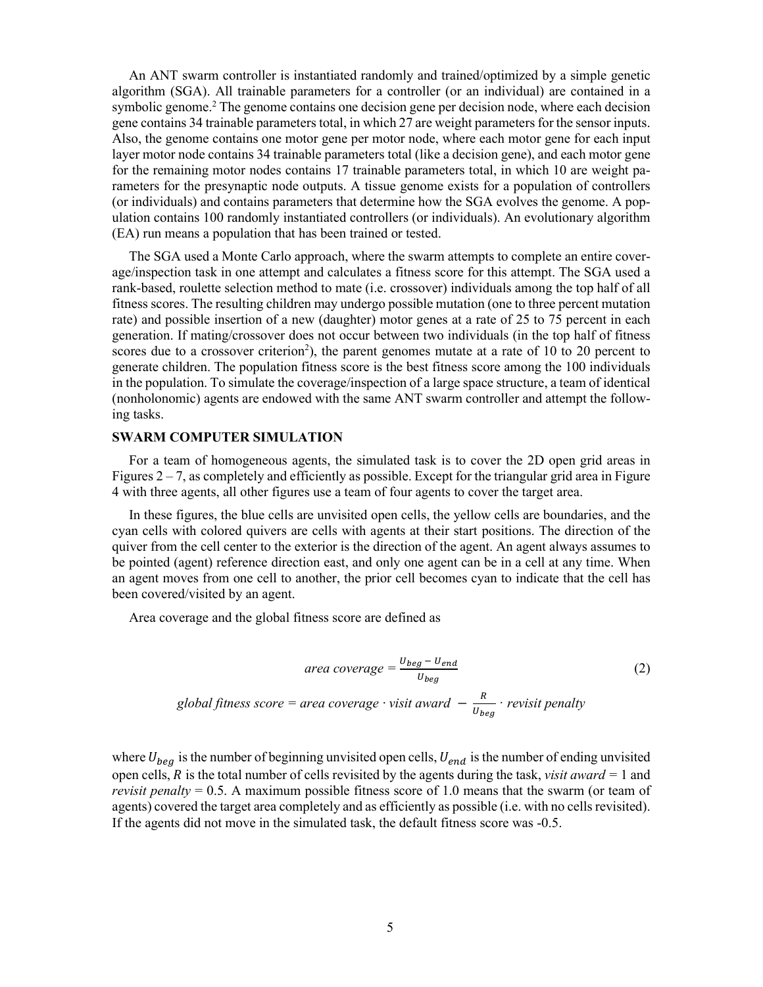An ANT swarm controller is instantiated randomly and trained/optimized by a simple genetic algorithm (SGA). All trainable parameters for a controller (or an individual) are contained in a symbolic genome. <sup>2</sup> The genome contains one decision gene per decision node, where each decision gene contains 34 trainable parameters total, in which 27 are weight parameters for the sensor inputs. Also, the genome contains one motor gene per motor node, where each motor gene for each input layer motor node contains 34 trainable parameters total (like a decision gene), and each motor gene for the remaining motor nodes contains 17 trainable parameters total, in which 10 are weight parameters for the presynaptic node outputs. A tissue genome exists for a population of controllers (or individuals) and contains parameters that determine how the SGA evolves the genome. A population contains 100 randomly instantiated controllers (or individuals). An evolutionary algorithm (EA) run means a population that has been trained or tested.

The SGA used a Monte Carlo approach, where the swarm attempts to complete an entire coverage/inspection task in one attempt and calculates a fitness score for this attempt. The SGA used a rank-based, roulette selection method to mate (i.e. crossover) individuals among the top half of all fitness scores. The resulting children may undergo possible mutation (one to three percent mutation rate) and possible insertion of a new (daughter) motor genes at a rate of 25 to 75 percent in each generation. If mating/crossover does not occur between two individuals (in the top half of fitness scores due to a crossover criterion<sup>2</sup>), the parent genomes mutate at a rate of 10 to 20 percent to generate children. The population fitness score is the best fitness score among the 100 individuals in the population. To simulate the coverage/inspection of a large space structure, a team of identical (nonholonomic) agents are endowed with the same ANT swarm controller and attempt the following tasks.

# **SWARM COMPUTER SIMULATION**

For a team of homogeneous agents, the simulated task is to cover the 2D open grid areas in Figures  $2 - 7$ , as completely and efficiently as possible. Except for the triangular grid area in Figure 4 with three agents, all other figures use a team of four agents to cover the target area.

In these figures, the blue cells are unvisited open cells, the yellow cells are boundaries, and the cyan cells with colored quivers are cells with agents at their start positions. The direction of the quiver from the cell center to the exterior is the direction of the agent. An agent always assumes to be pointed (agent) reference direction east, and only one agent can be in a cell at any time. When an agent moves from one cell to another, the prior cell becomes cyan to indicate that the cell has been covered/visited by an agent.

Area coverage and the global fitness score are defined as

$$
area coverage = \frac{U_{beg} - U_{end}}{U_{beg}}
$$
\nglobal fitness score = area coverage · visit award -  $\frac{R}{U_{beg}}$  · revisit penalty

where  $U_{beg}$  is the number of beginning unvisited open cells,  $U_{end}$  is the number of ending unvisited open cells,  $R$  is the total number of cells revisited by the agents during the task, *visit award* = 1 and *revisit penalty*  $= 0.5$ . A maximum possible fitness score of 1.0 means that the swarm (or team of agents) covered the target area completely and as efficiently as possible (i.e. with no cells revisited). If the agents did not move in the simulated task, the default fitness score was -0.5.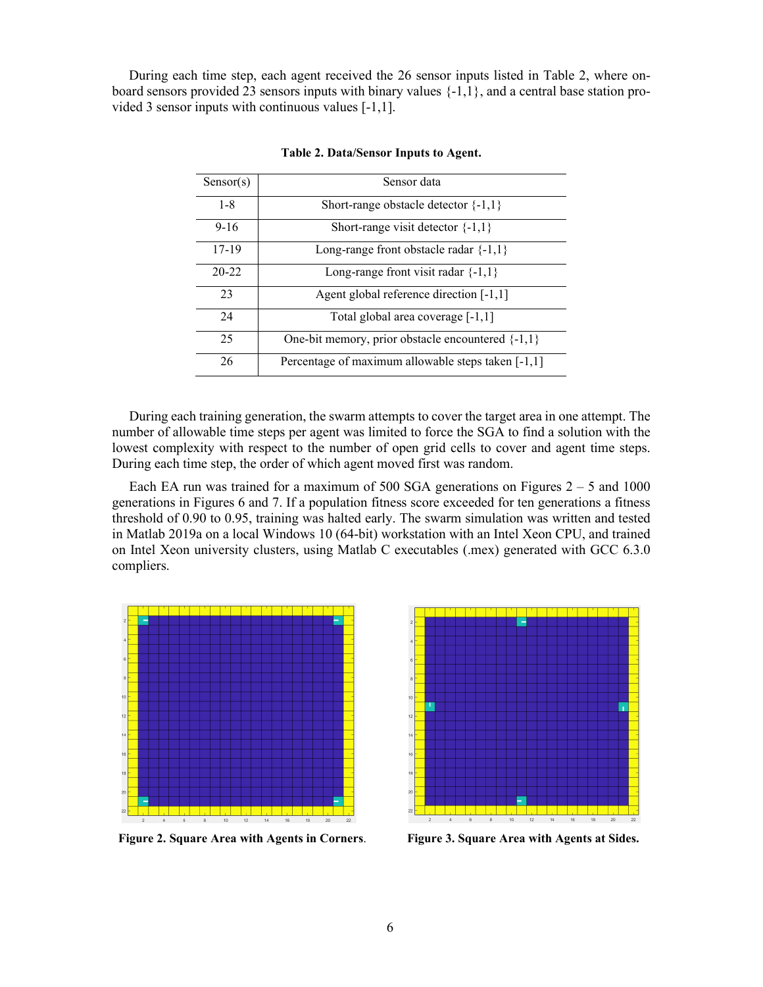During each time step, each agent received the 26 sensor inputs listed in Table 2, where onboard sensors provided 23 sensors inputs with binary values  $\{-1,1\}$ , and a central base station provided 3 sensor inputs with continuous values [-1,1].

| Sensor(s) | Sensor data                                           |
|-----------|-------------------------------------------------------|
| $1 - 8$   | Short-range obstacle detector $\{-1,1\}$              |
| $9 - 16$  | Short-range visit detector $\{-1,1\}$                 |
| $17-19$   | Long-range front obstacle radar $\{-1,1\}$            |
| $20 - 22$ | Long-range front visit radar $\{-1,1\}$               |
| 23        | Agent global reference direction [-1,1]               |
| 24        | Total global area coverage [-1,1]                     |
| 25        | One-bit memory, prior obstacle encountered $\{-1,1\}$ |
| 26        | Percentage of maximum allowable steps taken [-1,1]    |

**Table 2. Data/Sensor Inputs to Agent.**

During each training generation, the swarm attempts to cover the target area in one attempt. The number of allowable time steps per agent was limited to force the SGA to find a solution with the lowest complexity with respect to the number of open grid cells to cover and agent time steps. During each time step, the order of which agent moved first was random.

Each EA run was trained for a maximum of 500 SGA generations on Figures  $2 - 5$  and 1000 generations in Figures 6 and 7. If a population fitness score exceeded for ten generations a fitness threshold of 0.90 to 0.95, training was halted early. The swarm simulation was written and tested in Matlab 2019a on a local Windows 10 (64-bit) workstation with an Intel Xeon CPU, and trained on Intel Xeon university clusters, using Matlab C executables (.mex) generated with GCC 6.3.0 compliers.



**Figure 2. Square Area with Agents in Corners**. **Figure 3. Square Area with Agents at Sides.**

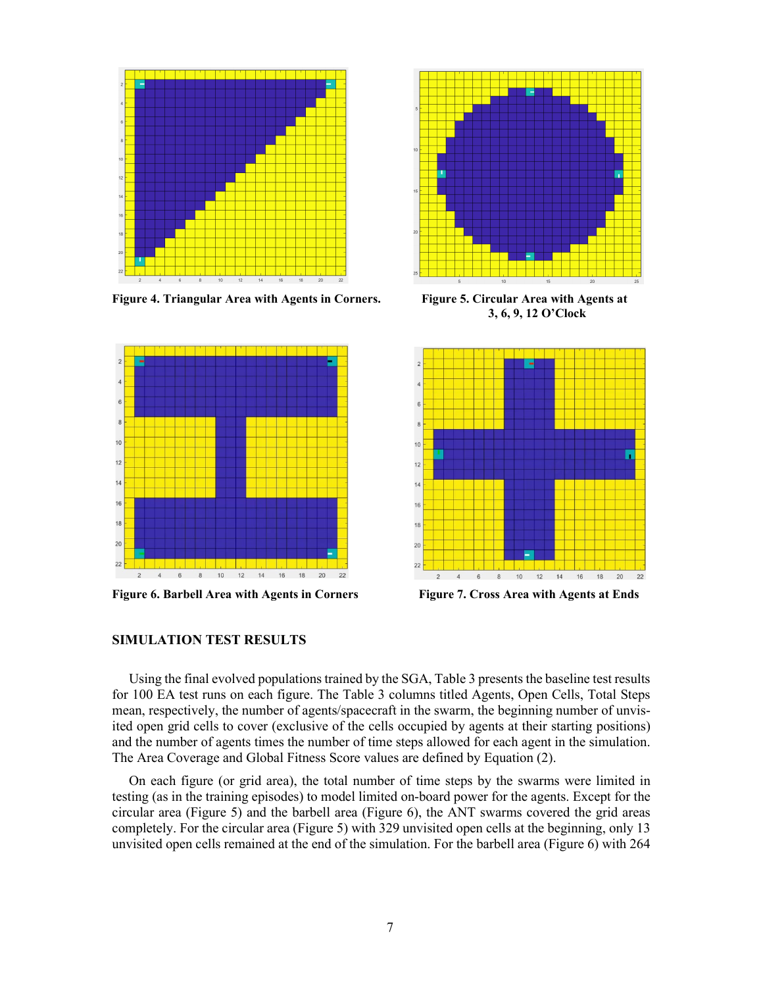

**Figure 4. Triangular Area with Agents in Corners. Figure 5. Circular Area with Agents at**



**Figure 6. Barbell Area with Agents in Corners Figure 7. Cross Area with Agents at Ends**



 **3, 6, 9, 12 O'Clock**



# **SIMULATION TEST RESULTS**

Using the final evolved populations trained by the SGA, Table 3 presents the baseline test results for 100 EA test runs on each figure. The Table 3 columns titled Agents, Open Cells, Total Steps mean, respectively, the number of agents/spacecraft in the swarm, the beginning number of unvisited open grid cells to cover (exclusive of the cells occupied by agents at their starting positions) and the number of agents times the number of time steps allowed for each agent in the simulation. The Area Coverage and Global Fitness Score values are defined by Equation (2).

On each figure (or grid area), the total number of time steps by the swarms were limited in testing (as in the training episodes) to model limited on-board power for the agents. Except for the circular area (Figure 5) and the barbell area (Figure 6), the ANT swarms covered the grid areas completely. For the circular area (Figure 5) with 329 unvisited open cells at the beginning, only 13 unvisited open cells remained at the end of the simulation. For the barbell area (Figure 6) with 264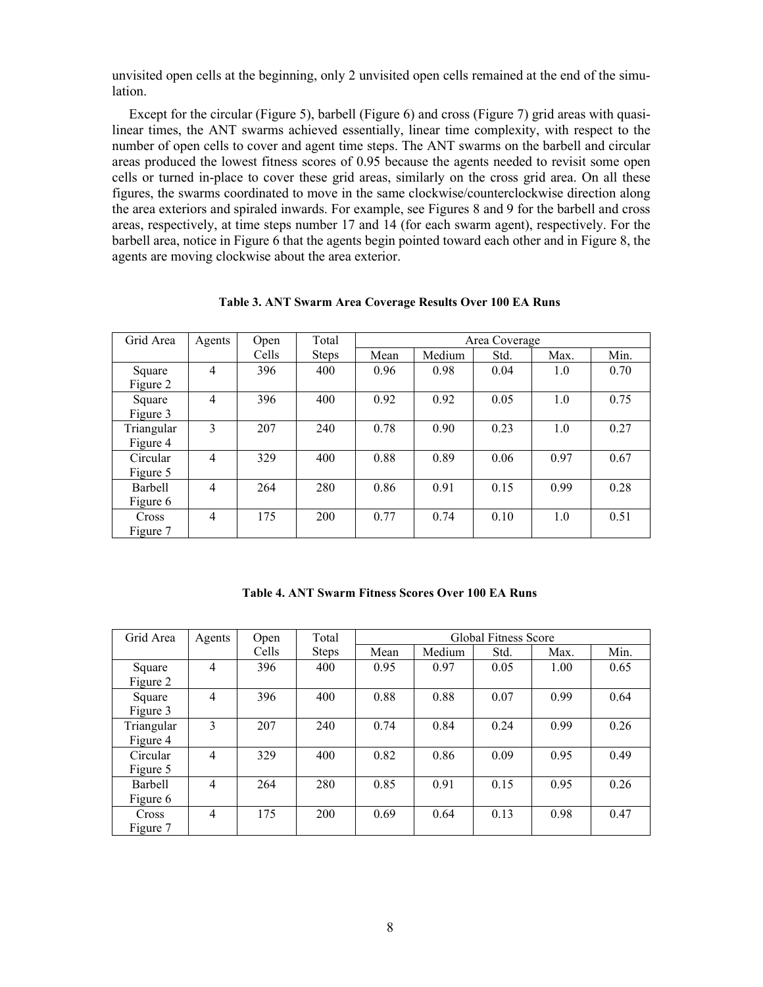unvisited open cells at the beginning, only 2 unvisited open cells remained at the end of the simulation.

Except for the circular (Figure 5), barbell (Figure 6) and cross (Figure 7) grid areas with quasilinear times, the ANT swarms achieved essentially, linear time complexity, with respect to the number of open cells to cover and agent time steps. The ANT swarms on the barbell and circular areas produced the lowest fitness scores of 0.95 because the agents needed to revisit some open cells or turned in-place to cover these grid areas, similarly on the cross grid area. On all these figures, the swarms coordinated to move in the same clockwise/counterclockwise direction along the area exteriors and spiraled inwards. For example, see Figures 8 and 9 for the barbell and cross areas, respectively, at time steps number 17 and 14 (for each swarm agent), respectively. For the barbell area, notice in Figure 6 that the agents begin pointed toward each other and in Figure 8, the agents are moving clockwise about the area exterior.

| Grid Area    | Agents         | Open  | Total        | Area Coverage |        |      |      |      |
|--------------|----------------|-------|--------------|---------------|--------|------|------|------|
|              |                | Cells | <b>Steps</b> | Mean          | Medium | Std. | Max. | Min. |
| Square       | $\overline{4}$ | 396   | 400          | 0.96          | 0.98   | 0.04 | 1.0  | 0.70 |
| Figure 2     |                |       |              |               |        |      |      |      |
| Square       | $\overline{4}$ | 396   | 400          | 0.92          | 0.92   | 0.05 | 1.0  | 0.75 |
| Figure 3     |                |       |              |               |        |      |      |      |
| Triangular   | 3              | 207   | 240          | 0.78          | 0.90   | 0.23 | 1.0  | 0.27 |
| Figure 4     |                |       |              |               |        |      |      |      |
| Circular     | $\overline{4}$ | 329   | 400          | 0.88          | 0.89   | 0.06 | 0.97 | 0.67 |
| Figure 5     |                |       |              |               |        |      |      |      |
| Barbell      | $\overline{4}$ | 264   | 280          | 0.86          | 0.91   | 0.15 | 0.99 | 0.28 |
| Figure 6     |                |       |              |               |        |      |      |      |
| <b>Cross</b> | $\overline{4}$ | 175   | 200          | 0.77          | 0.74   | 0.10 | 1.0  | 0.51 |
| Figure 7     |                |       |              |               |        |      |      |      |

**Table 3. ANT Swarm Area Coverage Results Over 100 EA Runs**

| Table 4. ANT Swarm Fitness Scores Over 100 EA Runs |  |  |  |  |  |  |  |
|----------------------------------------------------|--|--|--|--|--|--|--|
|----------------------------------------------------|--|--|--|--|--|--|--|

| Grid Area                | Agents         | Open  | Total        | Global Fitness Score |        |      |      |      |
|--------------------------|----------------|-------|--------------|----------------------|--------|------|------|------|
|                          |                | Cells | <b>Steps</b> | Mean                 | Medium | Std. | Max. | Min. |
| Square<br>Figure 2       | $\overline{4}$ | 396   | 400          | 0.95                 | 0.97   | 0.05 | 1.00 | 0.65 |
| Square<br>Figure 3       | $\overline{4}$ | 396   | 400          | 0.88                 | 0.88   | 0.07 | 0.99 | 0.64 |
| Triangular<br>Figure 4   | 3              | 207   | 240          | 0.74                 | 0.84   | 0.24 | 0.99 | 0.26 |
| Circular<br>Figure 5     | 4              | 329   | 400          | 0.82                 | 0.86   | 0.09 | 0.95 | 0.49 |
| Barbell<br>Figure 6      | $\overline{4}$ | 264   | 280          | 0.85                 | 0.91   | 0.15 | 0.95 | 0.26 |
| <b>Cross</b><br>Figure 7 | 4              | 175   | 200          | 0.69                 | 0.64   | 0.13 | 0.98 | 0.47 |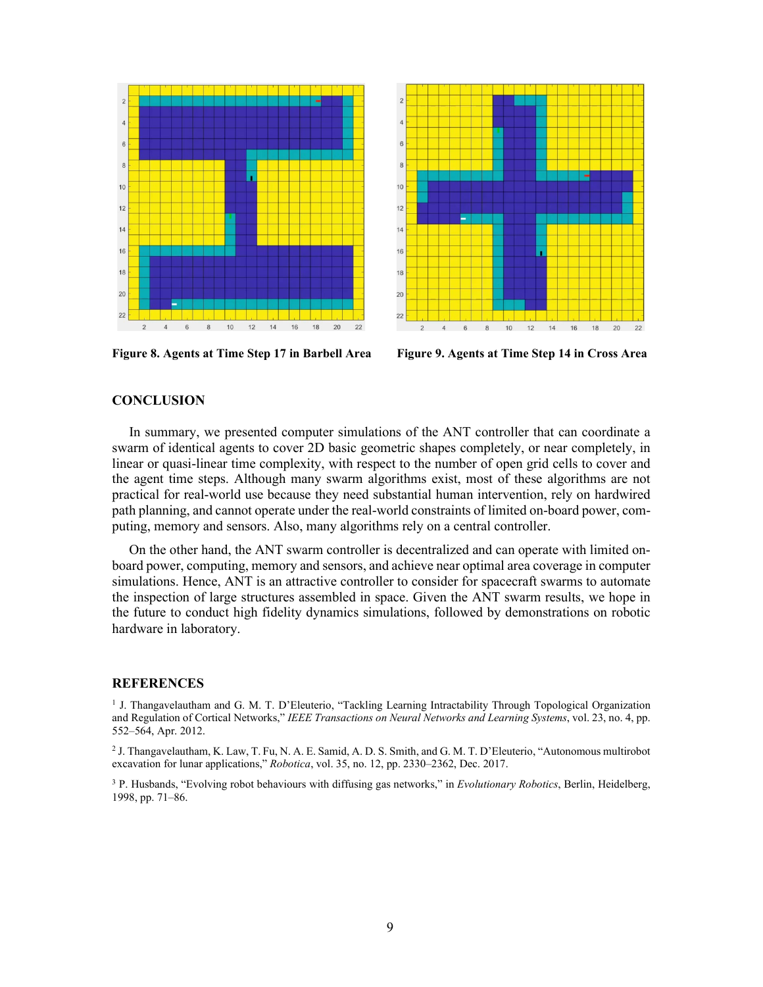



**Figure 8. Agents at Time Step 17 in Barbell Area Figure 9. Agents at Time Step 14 in Cross Area**

# **CONCLUSION**

In summary, we presented computer simulations of the ANT controller that can coordinate a swarm of identical agents to cover 2D basic geometric shapes completely, or near completely, in linear or quasi-linear time complexity, with respect to the number of open grid cells to cover and the agent time steps. Although many swarm algorithms exist, most of these algorithms are not practical for real-world use because they need substantial human intervention, rely on hardwired path planning, and cannot operate under the real-world constraints of limited on-board power, computing, memory and sensors. Also, many algorithms rely on a central controller.

On the other hand, the ANT swarm controller is decentralized and can operate with limited onboard power, computing, memory and sensors, and achieve near optimal area coverage in computer simulations. Hence, ANT is an attractive controller to consider for spacecraft swarms to automate the inspection of large structures assembled in space. Given the ANT swarm results, we hope in the future to conduct high fidelity dynamics simulations, followed by demonstrations on robotic hardware in laboratory.

#### **REFERENCES**

<span id="page-8-0"></span><sup>1</sup> J. Thangavelautham and G. M. T. D'Eleuterio, "Tackling Learning Intractability Through Topological Organization and Regulation of Cortical Networks," *IEEE Transactions on Neural Networks and Learning Systems*, vol. 23, no. 4, pp. 552–564, Apr. 2012.

<span id="page-8-1"></span><sup>2</sup> J. Thangavelautham, K. Law, T. Fu, N. A. E. Samid, A. D. S. Smith, and G. M. T. D'Eleuterio, "Autonomous multirobot excavation for lunar applications," *Robotica*, vol. 35, no. 12, pp. 2330–2362, Dec. 2017.

<span id="page-8-2"></span><sup>3</sup> P. Husbands, "Evolving robot behaviours with diffusing gas networks," in *Evolutionary Robotics*, Berlin, Heidelberg, 1998, pp. 71–86.